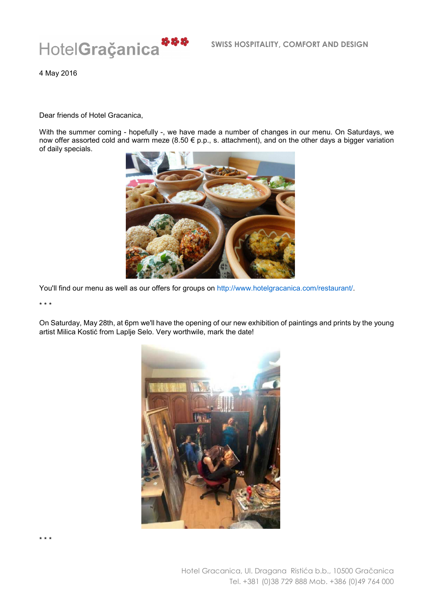

4 May 2016

Dear friends of Hotel Gracanica,

With the summer coming - hopefully -, we have made a number of changes in our menu. On Saturdays, we now offer assorted cold and warm meze (8.50 € p.p., s. attachment), and on the other days a bigger variation of daily specials.



You'll find our menu as well as our offers for groups on http://www.hotelgracanica.com/restaurant/.

\* \* \*

On Saturday, May 28th, at 6pm we'll have the opening of our new exhibition of paintings and prints by the young artist Milica Kostić from Laplje Selo. Very worthwile, mark the date!



Hotel Gracanica, Ul. Dragana Ristića b.b., 10500 Gračanica Tel. +381 (0)38 729 888 Mob. +386 (0)49 764 000